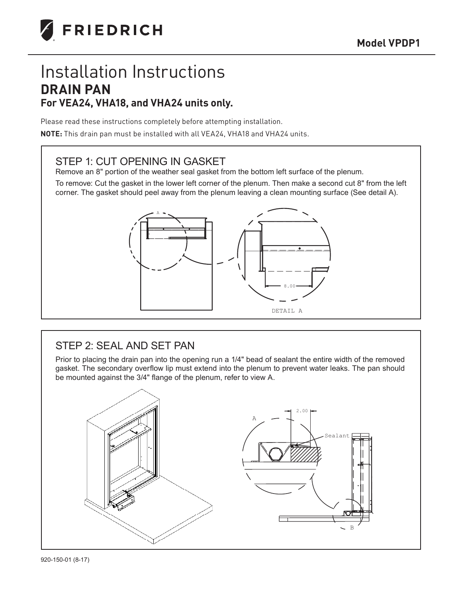

# Installation Instructions **DRAIN PAN For VEA24, VHA18, and VHA24 units only.**

Please read these instructions completely before attempting installation.

**NOTE:** This drain pan must be installed with all VEA24, VHA18 and VHA24 units.

# STEP 1: CUT OPENING IN GASKET

Remove an 8" portion of the weather seal gasket from the bottom left surface of the plenum.

To remove: Cut the gasket in the lower left corner of the plenum. Then make a second cut 8" from the left corner. The gasket should peel away from the plenum leaving a clean mounting surface (See detail A).



# STEP 2: SEAL AND SET PAN

Prior to placing the drain pan into the opening run a 1/4" bead of sealant the entire width of the removed gasket. The secondary overflow lip must extend into the plenum to prevent water leaks. The pan should be mounted against the 3/4" flange of the plenum, refer to view A.

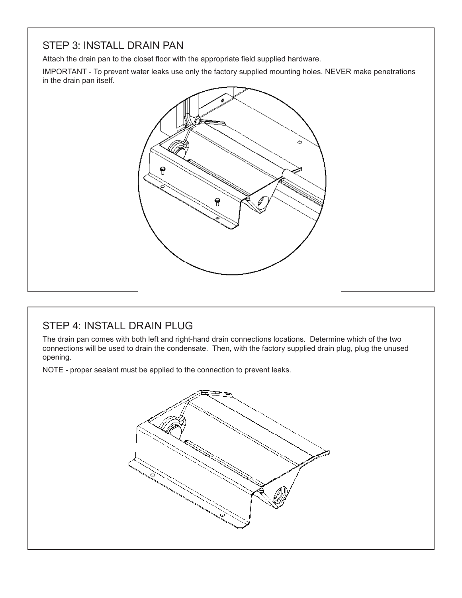# STEP 3: INSTALL DRAIN PAN

Attach the drain pan to the closet floor with the appropriate field supplied hardware.

IMPORTANT - To prevent water leaks use only the factory supplied mounting holes. NEVER make penetrations in the drain pan itself.



# STEP 4: INSTALL DRAIN PLUG

The drain pan comes with both left and right-hand drain connections locations. Determine which of the two connections will be used to drain the condensate. Then, with the factory supplied drain plug, plug the unused opening.

NOTE - proper sealant must be applied to the connection to prevent leaks.

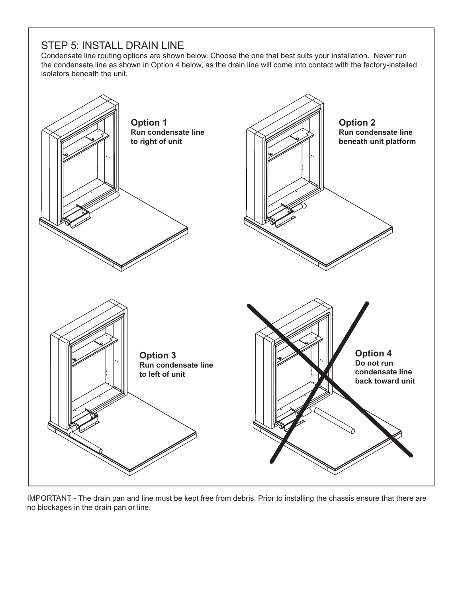#### STEP 5: INSTALL DRAIN LINE

Condensate line routing options are shown below. Choose the one that best suits your installation. Never run the condensate line as shown in Option 4 below, as the drain line will come into contact with the factory-installed isolators beneath the unit.



IMPORTANT - The drain pan and line must be kept free from debris. Prior to installing the chassis ensure that there are no blockages in the drain pan or line.